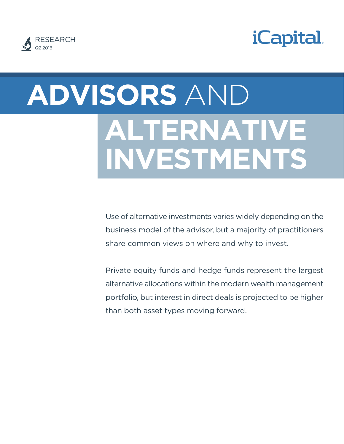



# **ADVISORS** AND  **ALTERNATIVE INVESTMENTS**

Use of alternative investments varies widely depending on the business model of the advisor, but a majority of practitioners share common views on where and why to invest.

Private equity funds and hedge funds represent the largest alternative allocations within the modern wealth management portfolio, but interest in direct deals is projected to be higher than both asset types moving forward.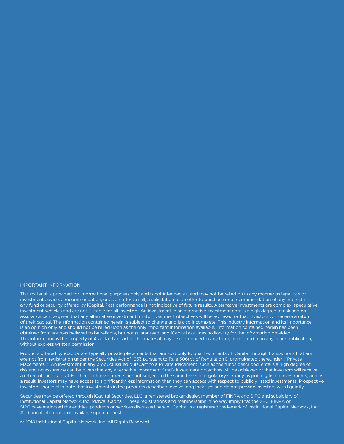#### IMPORTANT INFORMATION:

This material is provided for informational purposes only and is not intended as, and may not be relied on in any manner as legal, tax or investment advice, a recommendation, or as an offer to sell, a solicitation of an offer to purchase or a recommendation of any interest in any fund or security offered by iCapital. Past performance is not indicative of future results. Alternative investments are complex, speculative investment vehicles and are not suitable for all investors. An investment in an alternative investment entails a high degree of risk and no assurance can be given that any alternative investment fund's investment objectives will be achieved or that investors will receive a return of their capital. The information contained herein is subject to change and is also incomplete. This industry information and its importance is an opinion only and should not be relied upon as the only important information available. Information contained herein has been obtained from sources believed to be reliable, but not guaranteed, and iCapital assumes no liability for the information provided. This information is the property of iCapital. No part of this material may be reproduced in any form, or referred to in any other publication, without express written permission.

Products offered by iCapital are typically private placements that are sold only to qualified clients of iCapital through transactions that are exempt from registration under the Securities Act of 1933 pursuant to Rule 506(b) of Regulation D promulgated thereunder ("Private Placements"). An investment in any product issued pursuant to a Private Placement, such as the funds described, entails a high degree of risk and no assurance can be given that any alternative investment fund's investment objectives will be achieved or that investors will receive a return of their capital. Further, such investments are not subject to the same levels of regulatory scrutiny as publicly listed investments, and as a result, investors may have access to significantly less information than they can access with respect to publicly listed investments. Prospective investors should also note that investments in the products described involve long lock-ups and do not provide investors with liquidity.

Securities may be offered through iCapital Securities, LLC, a registered broker dealer, member of FINRA and SIPC and subsidiary of Institutional Capital Network, Inc. (d/b/a iCapital). These registrations and memberships in no way imply that the SEC, FINRA or SIPC have endorsed the entities, products or services discussed herein. iCapital is a registered trademark of Institutional Capital Network, Inc. Additional information is available upon request.

© 2018 Institutional Capital Network, Inc. All Rights Reserved.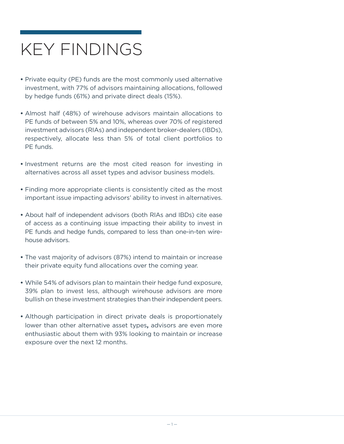## KEY FINDINGS

- **•** Private equity (PE) funds are the most commonly used alternative investment, with 77% of advisors maintaining allocations, followed by hedge funds (61%) and private direct deals (15%).
- **•** Almost half (48%) of wirehouse advisors maintain allocations to PE funds of between 5% and 10%, whereas over 70% of registered investment advisors (RIAs) and independent broker-dealers (IBDs), respectively, allocate less than 5% of total client portfolios to PE funds.
- **•** Investment returns are the most cited reason for investing in alternatives across all asset types and advisor business models.
- **•** Finding more appropriate clients is consistently cited as the most important issue impacting advisors' ability to invest in alternatives.
- **•** About half of independent advisors (both RIAs and IBDs) cite ease of access as a continuing issue impacting their ability to invest in PE funds and hedge funds, compared to less than one-in-ten wirehouse advisors.
- **•** The vast majority of advisors (87%) intend to maintain or increase their private equity fund allocations over the coming year.
- **•** While 54% of advisors plan to maintain their hedge fund exposure, 39% plan to invest less, although wirehouse advisors are more bullish on these investment strategies than their independent peers.
- **•** Although participation in direct private deals is proportionately lower than other alternative asset types**,** advisors are even more enthusiastic about them with 93% looking to maintain or increase exposure over the next 12 months.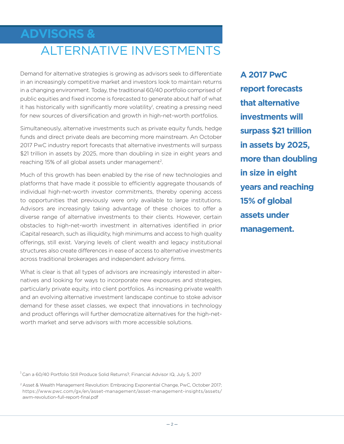## **ADVISORS &** ALTERNATIVE INVESTMENTS

Demand for alternative strategies is growing as advisors seek to differentiate in an increasingly competitive market and investors look to maintain returns in a changing environment. Today, the traditional 60/40 portfolio comprised of public equities and fixed income is forecasted to generate about half of what it has historically with significantly more volatility<sup>1</sup>, creating a pressing need for new sources of diversification and growth in high-net-worth portfolios.

Simultaneously, alternative investments such as private equity funds, hedge funds and direct private deals are becoming more mainstream. An October 2017 PwC industry report forecasts that alternative investments will surpass \$21 trillion in assets by 2025, more than doubling in size in eight years and reaching 15% of all global assets under management<sup>2</sup>.

Much of this growth has been enabled by the rise of new technologies and platforms that have made it possible to efficiently aggregate thousands of individual high-net-worth investor commitments, thereby opening access to opportunities that previously were only available to large institutions. Advisors are increasingly taking advantage of these choices to offer a diverse range of alternative investments to their clients. However, certain obstacles to high-net-worth investment in alternatives identified in prior iCapital research, such as illiquidity, high minimums and access to high quality offerings, still exist. Varying levels of client wealth and legacy institutional structures also create differences in ease of access to alternative investments across traditional brokerages and independent advisory firms.

What is clear is that all types of advisors are increasingly interested in alternatives and looking for ways to incorporate new exposures and strategies, particularly private equity, into client portfolios. As increasing private wealth and an evolving alternative investment landscape continue to stoke advisor demand for these asset classes, we expect that innovations in technology and product offerings will further democratize alternatives for the high-networth market and serve advisors with more accessible solutions.

<sup>1</sup> Can a 60/40 Portfolio Still Produce Solid Returns?, Financial Advisor IQ, July 5, 2017

<sup>2</sup> Asset & Wealth Management Revolution: Embracing Exponential Change, PwC, October 2017; https://www.pwc.com/gx/en/asset-management/asset-management-insights/assets/ awm-revolution-full-report-final.pdf

**A 2017 PwC report forecasts that alternative investments will surpass \$21 trillion in assets by 2025, more than doubling in size in eight years and reaching 15% of global assets under management.**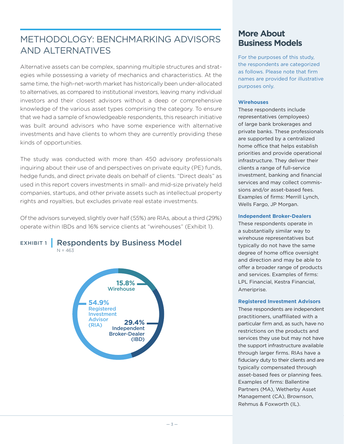## METHODOLOGY: BENCHMARKING ADVISORS AND ALTERNATIVES

Alternative assets can be complex, spanning multiple structures and strategies while possessing a variety of mechanics and characteristics. At the same time, the high-net-worth market has historically been under-allocated to alternatives, as compared to institutional investors, leaving many individual investors and their closest advisors without a deep or comprehensive knowledge of the various asset types comprising the category. To ensure that we had a sample of knowledgeable respondents, this research initiative was built around advisors who have some experience with alternative investments and have clients to whom they are currently providing these kinds of opportunities.

The study was conducted with more than 450 advisory professionals inquiring about their use of and perspectives on private equity (PE) funds, hedge funds, and direct private deals on behalf of clients. "Direct deals" as used in this report covers investments in small- and mid-size privately held companies, startups, and other private assets such as intellectual property rights and royalties, but excludes private real estate investments.

Of the advisors surveyed, slightly over half (55%) are RIAs, about a third (29%) operate within IBDs and 16% service clients at "wirehouses" (Exhibit 1).



### **More About Business Models**

For the purposes of this study, the respondents are categorized as follows. Please note that firm names are provided for illustrative purposes only.

#### **Wirehouses**

These respondents include representatives (employees) of large bank brokerages and private banks. These professionals are supported by a centralized home office that helps establish priorities and provide operational infrastructure. They deliver their clients a range of full-service investment, banking and financial services and may collect commissions and/or asset-based fees. Examples of firms: Merrill Lynch, Wells Fargo, JP Morgan.

#### **Independent Broker-Dealers**

These respondents operate in a substantially similar way to wirehouse representatives but typically do not have the same degree of home office oversight and direction and may be able to offer a broader range of products and services. Examples of firms: LPL Financial, Kestra Financial, Ameriprise.

#### **Registered Investment Advisors**

These respondents are independent practitioners, unaffiliated with a particular firm and, as such, have no restrictions on the products and services they use but may not have the support infrastructure available through larger firms. RIAs have a fiduciary duty to their clients and are typically compensated through asset-based fees or planning fees. Examples of firms: Ballentine Partners (MA), Wetherby Asset Management (CA), Brownson, Rehmus & Foxworth (IL).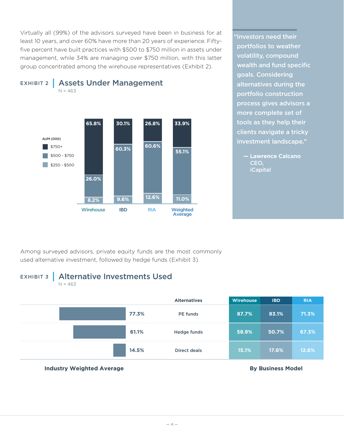Virtually all (99%) of the advisors surveyed have been in business for at least 10 years, and over 60% have more than 20 years of experience. Fiftyfive percent have built practices with \$500 to \$750 million in assets under management, while 34% are managing over \$750 million, with this latter group concentrated among the wirehouse representatives (Exhibit 2).



"Investors need their portfolios to weather volatility, compound wealth and fund specific goals. Considering alternatives during the portfolio construction process gives advisors a more complete set of tools as they help their clients navigate a tricky investment landscape."

**— Lawrence Calcano** CEO, iCapital

Among surveyed advisors, private equity funds are the most commonly used alternative investment, followed by hedge funds (Exhibit 3).

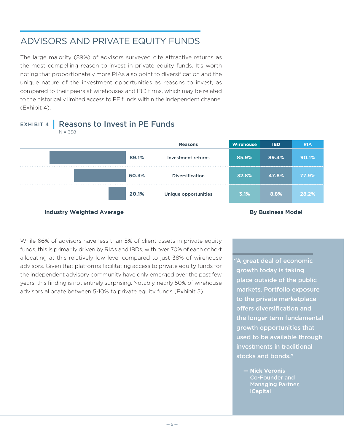## ADVISORS AND PRIVATE EQUITY FUNDS

The large majority (89%) of advisors surveyed cite attractive returns as the most compelling reason to invest in private equity funds. It's worth noting that proportionately more RIAs also point to diversification and the unique nature of the investment opportunities as reasons to invest, as compared to their peers at wirehouses and IBD firms, which may be related to the historically limited access to PE funds within the independent channel (Exhibit 4).

## EXHIBIT 4 | Reasons to Invest in PE Funds





#### **Industry Weighted Average <b>By Business Model By Business Model**

While 66% of advisors have less than 5% of client assets in private equity funds, this is primarily driven by RIAs and IBDs, with over 70% of each cohort allocating at this relatively low level compared to just 38% of wirehouse advisors. Given that platforms facilitating access to private equity funds for the independent advisory community have only emerged over the past few years, this finding is not entirely surprising. Notably, nearly 50% of wirehouse advisors allocate between 5-10% to private equity funds (Exhibit 5).

"A great deal of economic growth today is taking place outside of the public markets. Portfolio exposure to the private marketplace offers diversification and the longer term fundamental growth opportunities that used to be available through investments in traditional stocks and bonds."

**— Nick Veronis**  Co-Founder and Managing Partner, iCapital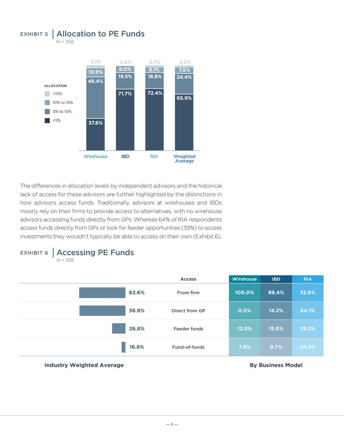

The differences in allocation levels by independent advisors and the historical lack of access for these advisors are further highlighted by the distinctions in how advisors access funds. Traditionally, advisors at wirehouses and IBDs mostly rely on their firms to provide access to alternatives, with no wirehouse advisors accessing funds directly from GPs. Whereas 64% of RIA respondents access funds directly from GPs or look for feeder opportunities (39%) to access investments they wouldn't typically be able to access on their own (Exhibit 6).



 $N = 358$ 



#### **Industry Weighted Average <b>By Business Model By Business Model**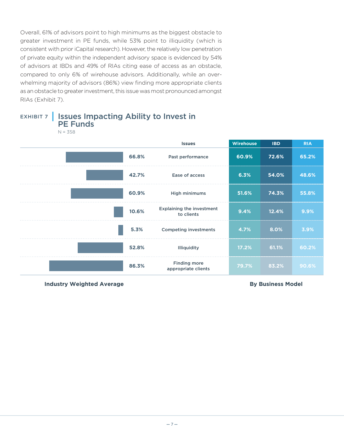Overall, 61% of advisors point to high minimums as the biggest obstacle to greater investment in PE funds, while 53% point to illiquidity (which is consistent with prior iCapital research). However, the relatively low penetration of private equity within the independent advisory space is evidenced by 54% of advisors at IBDs and 49% of RIAs citing ease of access as an obstacle, compared to only 6% of wirehouse advisors. Additionally, while an overwhelming majority of advisors (86%) view finding more appropriate clients as an obstacle to greater investment, this issue was most pronounced amongst RIAs (Exhibit 7).



### EXHIBIT 7 | Issues Impacting Ability to Invest in PE Funds

**Industry Weighted Average <b>By Business Model By Business Model**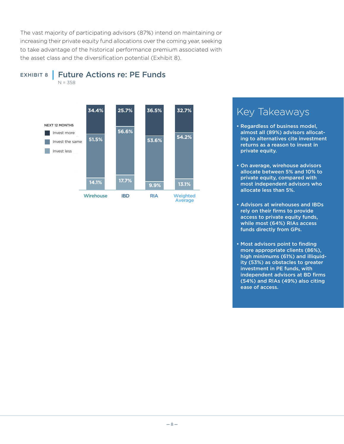The vast majority of participating advisors (87%) intend on maintaining or increasing their private equity fund allocations over the coming year, seeking to take advantage of the historical performance premium associated with the asset class and the diversification potential (Exhibit 8).

EXHIBIT 8 | Future Actions re: PE Funds

 $N = 358$ 



## Key Takeaways

- Regardless of business model, almost all (89%) advisors allocating to alternatives cite investment returns as a reason to invest in private equity.
- On average, wirehouse advisors allocate between 5% and 10% to private equity, compared with most independent advisors who allocate less than 5%.
- Advisors at wirehouses and IBDs rely on their firms to provide access to private equity funds, while most (64%) RIAs access funds directly from GPs.
- Most advisors point to finding more appropriate clients (86%), high minimums (61%) and illiquidity (53%) as obstacles to greater investment in PE funds, with independent advisors at BD firms (54%) and RIAs (49%) also citing ease of access.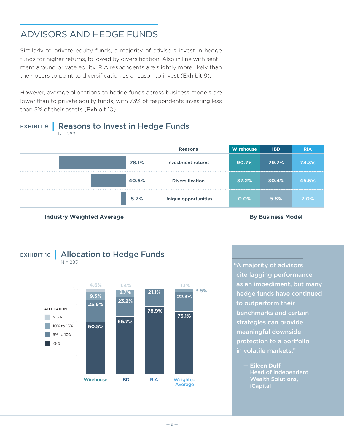## ADVISORS AND HEDGE FUNDS

Similarly to private equity funds, a majority of advisors invest in hedge funds for higher returns, followed by diversification. Also in line with sentiment around private equity, RIA respondents are slightly more likely than their peers to point to diversification as a reason to invest (Exhibit 9).

However, average allocations to hedge funds across business models are lower than to private equity funds, with 73% of respondents investing less than 5% of their assets (Exhibit 10).

EXHIBIT 9 | Reasons to Invest in Hedge Funds

 $N = 283$ **Reasons Wirehouse IBD RIA 78.1%** Investment returns **90.7% 79.7% 74.3% 40.6%** Diversification **37.2% 30.4% 45.6% 5.7%** Unique opportunities **0.0% 5.8% 7.0%**





"A majority of advisors cite lagging performance as an impediment, but many hedge funds have continued to outperform their benchmarks and certain strategies can provide meaningful downside protection to a portfolio in volatile markets."

> **— Eileen Duff**  Head of Independent Wealth Solutions, iCapital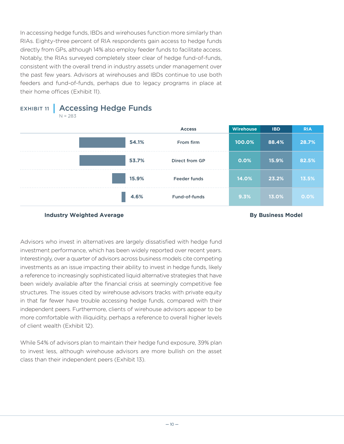In accessing hedge funds, IBDs and wirehouses function more similarly than RIAs. Eighty-three percent of RIA respondents gain access to hedge funds directly from GPs, although 14% also employ feeder funds to facilitate access. Notably, the RIAs surveyed completely steer clear of hedge fund-of-funds, consistent with the overall trend in industry assets under management over the past few years. Advisors at wirehouses and IBDs continue to use both feeders and fund-of-funds, perhaps due to legacy programs in place at their home offices (Exhibit 11).

EXHIBIT 11 | Accessing Hedge Funds  $N = 283$ 



#### **Industry Weighted Average By Business Model**

Advisors who invest in alternatives are largely dissatisfied with hedge fund investment performance, which has been widely reported over recent years. Interestingly, over a quarter of advisors across business models cite competing investments as an issue impacting their ability to invest in hedge funds, likely a reference to increasingly sophisticated liquid alternative strategies that have been widely available after the financial crisis at seemingly competitive fee structures. The issues cited by wirehouse advisors tracks with private equity in that far fewer have trouble accessing hedge funds, compared with their independent peers. Furthermore, clients of wirehouse advisors appear to be more comfortable with illiquidity, perhaps a reference to overall higher levels of client wealth (Exhibit 12).

While 54% of advisors plan to maintain their hedge fund exposure, 39% plan to invest less, although wirehouse advisors are more bullish on the asset class than their independent peers (Exhibit 13).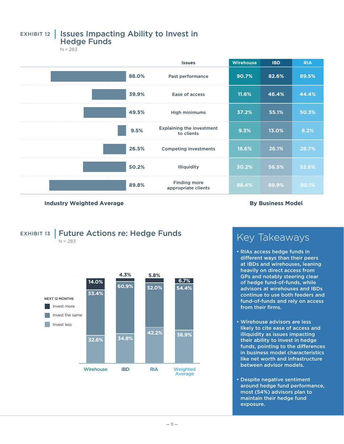## EXHIBIT 12 | Issues Impacting Ability to Invest in

Hedge Funds

 $N = 283$ 



**Industry Weighted Average <b>By Business Model By Business Model** 

#### EXHIBIT 13 | Future Actions re: Hedge Funds  $N = 283$ **14.0% 4.3% 5.8% 6.7%**



## Key Takeaways

- RIAs access hedge funds in different ways than their peers at IBDs and wirehouses, leaning heavily on direct access from GPs and notably steering clear of hedge fund-of-funds, while advisors at wirehouses and IBDs continue to use both feeders and fund-of-funds and rely on access from their firms.
- Wirehouse advisors are less likely to cite ease of access and illiquidity as issues impacting their ability to invest in hedge funds, pointing to the differences in business model characteristics like net worth and infrastructure between advisor models.
- Despite negative sentiment around hedge fund performance, most (54%) advisors plan to maintain their hedge fund exposure.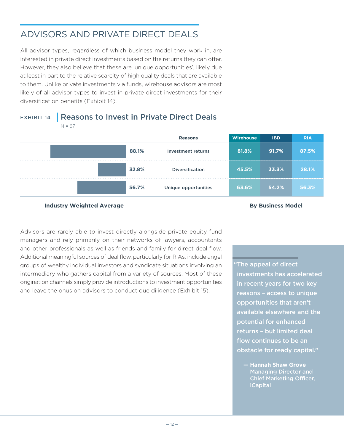## ADVISORS AND PRIVATE DIRECT DEALS

All advisor types, regardless of which business model they work in, are interested in private direct investments based on the returns they can offer. However, they also believe that these are 'unique opportunities', likely due at least in part to the relative scarcity of high quality deals that are available to them. Unlike private investments via funds, wirehouse advisors are most likely of all advisor types to invest in private direct investments for their diversification benefits (Exhibit 14).

### EXHIBIT 14 | Reasons to Invest in Private Direct Deals  $N = 67$



#### **Industry Weighted Average By Business Model**

Advisors are rarely able to invest directly alongside private equity fund managers and rely primarily on their networks of lawyers, accountants and other professionals as well as friends and family for direct deal flow. Additional meaningful sources of deal flow, particularly for RIAs, include angel groups of wealthy individual investors and syndicate situations involving an intermediary who gathers capital from a variety of sources. Most of these origination channels simply provide introductions to investment opportunities and leave the onus on advisors to conduct due diligence (Exhibit 15).

"The appeal of direct investments has accelerated in recent years for two key reasons – access to unique opportunities that aren't available elsewhere and the potential for enhanced returns – but limited deal flow continues to be an obstacle for ready capital."

**— Hannah Shaw Grove**  Managing Director and Chief Marketing Officer, iCapital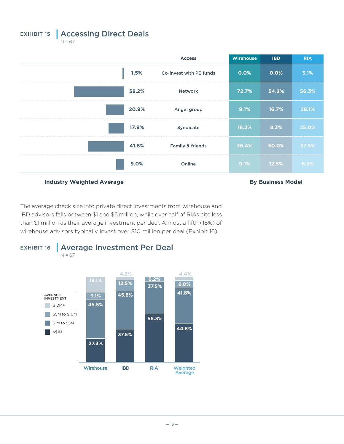EXHIBIT 15 | Accessing Direct Deals  $N = 67$ 

**Access Wirehouse IBD RIA 1.5%** Co-invest with PE funds **0.0% 0.0% 3.1% 58.2%** Network **72.7% 54.2% 56.3% 20.9%** Angel group **9.1% 16.7% 28.1% 17.9%** Syndicate **18.2% 8.3% 25.0% 41.8%** Family & friends **36.4% 50.0% 37.5% 9.0%** Online **9.1% 12.5% 6.3%**

**Industry Weighted Average <b>By Business Model By Business Model** 

The average check size into private direct investments from wirehouse and IBD advisors falls between \$1 and \$5 million, while over half of RIAs cite less than \$1 million as their average investment per deal. Almost a fifth (18%) of wirehouse advisors typically invest over \$10 million per deal (Exhibit 16).

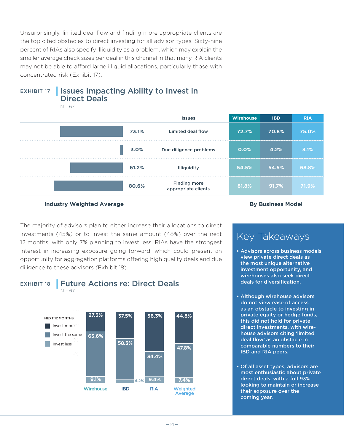Unsurprisingly, limited deal flow and finding more appropriate clients are the top cited obstacles to direct investing for all advisor types. Sixty-nine percent of RIAs also specify illiquidity as a problem, which may explain the smaller average check sizes per deal in this channel in that many RIA clients may not be able to afford large illiquid allocations, particularly those with concentrated risk (Exhibit 17).



 $N = 67$ 





The majority of advisors plan to either increase their allocations to direct investments (45%) or to invest the same amount (48%) over the next 12 months, with only 7% planning to invest less. RIAs have the strongest interest in increasing exposure going forward, which could present an opportunity for aggregation platforms offering high quality deals and due diligence to these advisors (Exhibit 18). **27.3% 37.5% 56.3% 44.8%**



EXHIBIT 18 | Future Actions re: Direct Deals  $N = 67$ 



## Key Takeaways

- Advisors across business models view private direct deals as the most unique alternative investment opportunity, and wirehouses also seek direct deals for diversification.
- Although wirehouse advisors do not view ease of access as an obstacle to investing in private equity or hedge funds, this did not hold for private direct investments, with wirehouse advisors citing 'limited deal flow' as an obstacle in comparable numbers to their IBD and RIA peers.
- Of all asset types, advisors are most enthusiastic about private direct deals, with a full 93% looking to maintain or increase their exposure over the coming year.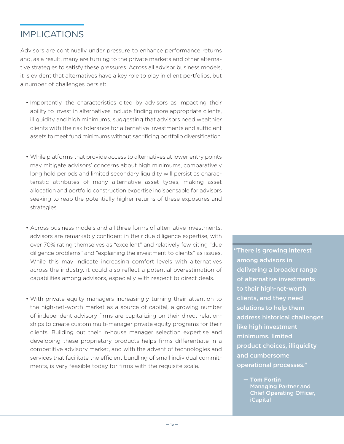## IMPLICATIONS

Advisors are continually under pressure to enhance performance returns and, as a result, many are turning to the private markets and other alternative strategies to satisfy these pressures. Across all advisor business models, it is evident that alternatives have a key role to play in client portfolios, but a number of challenges persist:

- Importantly, the characteristics cited by advisors as impacting their ability to invest in alternatives include finding more appropriate clients, illiquidity and high minimums, suggesting that advisors need wealthier clients with the risk tolerance for alternative investments and sufficient assets to meet fund minimums without sacrificing portfolio diversification.
- While platforms that provide access to alternatives at lower entry points may mitigate advisors' concerns about high minimums, comparatively long hold periods and limited secondary liquidity will persist as characteristic attributes of many alternative asset types, making asset allocation and portfolio construction expertise indispensable for advisors seeking to reap the potentially higher returns of these exposures and strategies.
- Across business models and all three forms of alternative investments, advisors are remarkably confident in their due diligence expertise, with over 70% rating themselves as "excellent" and relatively few citing "due diligence problems" and "explaining the investment to clients" as issues. While this may indicate increasing comfort levels with alternatives across the industry, it could also reflect a potential overestimation of capabilities among advisors, especially with respect to direct deals.
- With private equity managers increasingly turning their attention to the high-net-worth market as a source of capital, a growing number of independent advisory firms are capitalizing on their direct relationships to create custom multi-manager private equity programs for their clients. Building out their in-house manager selection expertise and developing these proprietary products helps firms differentiate in a competitive advisory market, and with the advent of technologies and services that facilitate the efficient bundling of small individual commitments, is very feasible today for firms with the requisite scale.

"There is growing interest among advisors in delivering a broader range of alternative investments to their high-net-worth clients, and they need solutions to help them address historical challenges like high investment minimums, limited product choices, illiquidity and cumbersome operational processes."

**— Tom Fortin** Managing Partner and Chief Operating Officer, iCapital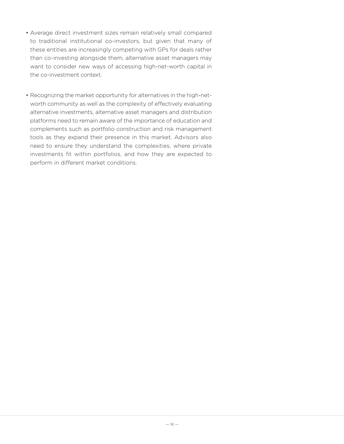- Average direct investment sizes remain relatively small compared to traditional institutional co-investors, but given that many of these entities are increasingly competing with GPs for deals rather than co-investing alongside them, alternative asset managers may want to consider new ways of accessing high-net-worth capital in the co-investment context.
- Recognizing the market opportunity for alternatives in the high-networth community as well as the complexity of effectively evaluating alternative investments, alternative asset managers and distribution platforms need to remain aware of the importance of education and complements such as portfolio construction and risk management tools as they expand their presence in this market. Advisors also need to ensure they understand the complexities, where private investments fit within portfolios, and how they are expected to perform in different market conditions.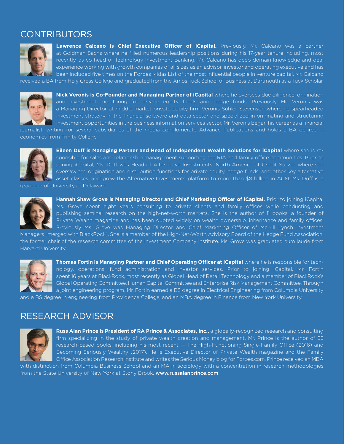## **CONTRIBUTORS**



**Lawrence Calcano is Chief Executive Officer of iCapital.** Previously, Mr. Calcano was a partner at Goldman Sachs where he filled numerous leadership positions during his 17-year tenure including, most recently, as co-head of Technology Investment Banking. Mr. Calcano has deep domain knowledge and deal experience working with growth companies of all sizes as an advisor, investor and operating executive and has been included five times on the Forbes Midas List of the most influential people in venture capital. Mr. Calcano

received a BA from Holy Cross College and graduated from the Amos Tuck School of Business at Dartmouth as a Tuck Scholar.



**Nick Veronis is Co-Founder and Managing Partner of iCapital** where he oversees due diligence, origination and investment monitoring for private equity funds and hedge funds. Previously Mr. Veronis was a Managing Director at middle market private equity firm Veronis Suhler Stevenson where he spearheaded investment strategy in the financial software and data sector and specialized in originating and structuring investment opportunities in the business information services sector. Mr. Veronis began his career as a financial

journalist, writing for several subsidiaries of the media conglomerate Advance Publications and holds a BA degree in economics from Trinity College.



**Eileen Duff is Managing Partner and Head of Independent Wealth Solutions for iCapital** where she is responsible for sales and relationship management supporting the RIA and family office communities. Prior to joining iCapital, Ms. Duff was Head of Alternative Investments, North America at Credit Suisse, where she oversaw the origination and distribution functions for private equity, hedge funds, and other key alternative asset classes, and grew the Alternative Investments platform to more than \$8 billion in AUM. Ms. Duff is a

graduate of University of Delaware.



**Hannah Shaw Grove is Managing Director and Chief Marketing Officer of iCapital.** Prior to joining iCapital Ms. Grove spent eight years consulting to private clients and family offices while conducting and publishing seminal research on the high-net-worth markets. She is the author of 11 books, a founder of Private Wealth magazine and has been quoted widely on wealth ownership, inheritance and family offices. Previously Ms. Grove was Managing Director and Chief Marketing Officer of Merrill Lynch Investment

Managers (merged with BlackRock). She is a member of the High-Net-Worth Advisory Board of the Hedge Fund Association, the former chair of the research committee of the Investment Company Institute. Ms. Grove was graduated cum laude from Harvard University.



**Thomas Fortin is Managing Partner and Chief Operating Officer at iCapital** where he is responsible for technology, operations, fund administration and investor services. Prior to joining iCapital, Mr. Fortin spent 16 years at BlackRock, most recently as Global Head of Retail Technology and a member of BlackRock's Global Operating Committee, Human Capital Committee and Enterprise Risk Management Committee. Through a joint engineering program, Mr. Fortin earned a BS degree in Electrical Engineering from Columbia University

and a BS degree in engineering from Providence College, and an MBA degree in Finance from New York University.

## RESEARCH ADVISOR



**Russ Alan Prince is President of RA Prince & Associates, Inc.,** a globally-recognized research and consulting firm specializing in the study of private wealth creation and management. Mr. Prince is the author of 55 research-based books, including his most recent — The High-Functioning Single-Family Office (2016) and Becoming Seriously Wealthy (2017). He is Executive Director of Private Wealth magazine and the Family Office Association Research Institute and writes the Serious Money blog for Forbes.com. Prince received an MBA

with distinction from Columbia Business School and an MA in sociology with a concentration in research methodologies from the State University of New York at Stony Brook. www.russalanprince.com